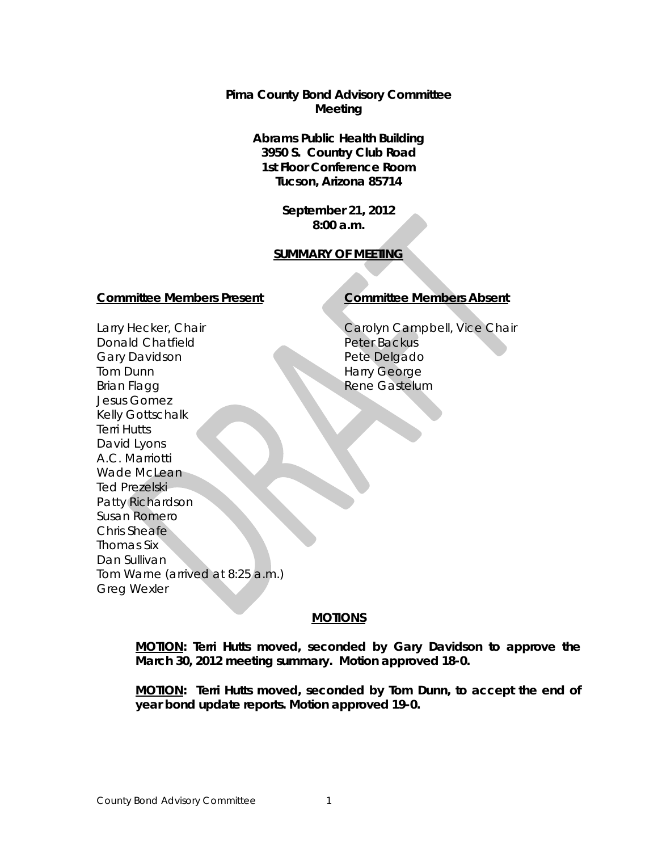**Pima County Bond Advisory Committee Meeting**

> **Abrams Public Health Building 3950 S. Country Club Road 1st Floor Conference Room Tucson, Arizona 85714**

> > **September 21, 2012 8:00 a.m.**

## **SUMMARY OF MEETING**

#### **Committee Members Present Committee Members Absent**

Carolyn Campbell, Vice Chair Peter Backus Pete Delgado Harry George Rene Gastelum

Larry Hecker, Chair Donald Chatfield Gary Davidson Tom Dunn Brian Flagg Jesus Gomez Kelly Gottschalk Terri Hutts David Lyons A.C. Marriotti Wade McLean Ted Prezelski Patty Richardson Susan Romero Chris Sheafe Thomas Six Dan Sullivan Tom Warne (arrived at 8:25 a.m.) Greg Wexler

## **MOTIONS**

**MOTION: Terri Hutts moved, seconded by Gary Davidson to approve the March 30, 2012 meeting summary. Motion approved 18-0.**

**MOTION: Terri Hutts moved, seconded by Tom Dunn, to accept the end of year bond update reports. Motion approved 19-0.**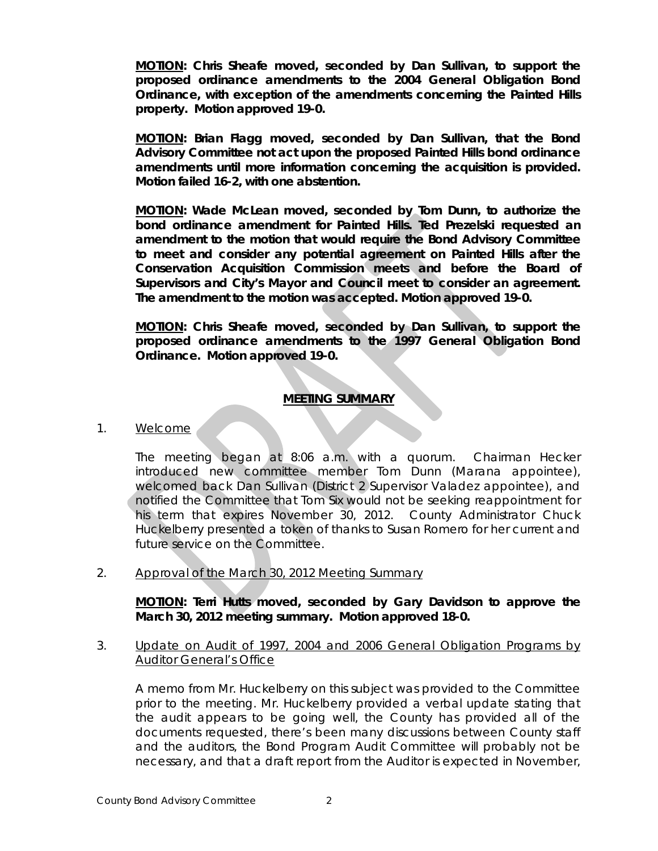**MOTION: Chris Sheafe moved, seconded by Dan Sullivan, to support the proposed ordinance amendments to the 2004 General Obligation Bond Ordinance, with exception of the amendments concerning the Painted Hills property. Motion approved 19-0.** 

**MOTION: Brian Flagg moved, seconded by Dan Sullivan, that the Bond Advisory Committee not act upon the proposed Painted Hills bond ordinance amendments until more information concerning the acquisition is provided. Motion failed 16-2, with one abstention.** 

**MOTION: Wade McLean moved, seconded by Tom Dunn, to authorize the bond ordinance amendment for Painted Hills. Ted Prezelski requested an amendment to the motion that would require the Bond Advisory Committee to meet and consider any potential agreement on Painted Hills after the Conservation Acquisition Commission meets and before the Board of Supervisors and City's Mayor and Council meet to consider an agreement. The amendment to the motion was accepted. Motion approved 19-0.**

**MOTION: Chris Sheafe moved, seconded by Dan Sullivan, to support the proposed ordinance amendments to the 1997 General Obligation Bond Ordinance. Motion approved 19-0.** 

# **MEETING SUMMARY**

## 1. Welcome

The meeting began at 8:06 a.m. with a quorum. Chairman Hecker introduced new committee member Tom Dunn (Marana appointee), welcomed back Dan Sullivan (District 2 Supervisor Valadez appointee), and notified the Committee that Tom Six would not be seeking reappointment for his term that expires November 30, 2012. County Administrator Chuck Huckelberry presented a token of thanks to Susan Romero for her current and future service on the Committee.

2. Approval of the March 30, 2012 Meeting Summary

**MOTION: Terri Hutts moved, seconded by Gary Davidson to approve the March 30, 2012 meeting summary. Motion approved 18-0.**

3. Update on Audit of 1997, 2004 and 2006 General Obligation Programs by Auditor General's Office

A memo from Mr. Huckelberry on this subject was provided to the Committee prior to the meeting. Mr. Huckelberry provided a verbal update stating that the audit appears to be going well, the County has provided all of the documents requested, there's been many discussions between County staff and the auditors, the Bond Program Audit Committee will probably not be necessary, and that a draft report from the Auditor is expected in November,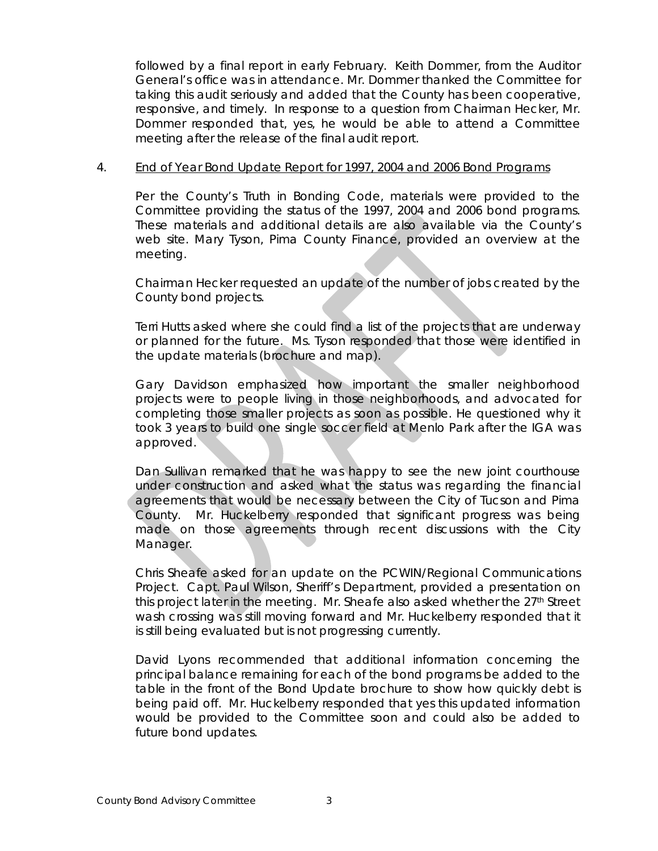followed by a final report in early February. Keith Dommer, from the Auditor General's office was in attendance. Mr. Dommer thanked the Committee for taking this audit seriously and added that the County has been cooperative, responsive, and timely. In response to a question from Chairman Hecker, Mr. Dommer responded that, yes, he would be able to attend a Committee meeting after the release of the final audit report.

### 4. End of Year Bond Update Report for 1997, 2004 and 2006 Bond Programs

Per the County's Truth in Bonding Code, materials were provided to the Committee providing the status of the 1997, 2004 and 2006 bond programs. These materials and additional details are also available via the County's web site. Mary Tyson, Pima County Finance, provided an overview at the meeting.

Chairman Hecker requested an update of the number of jobs created by the County bond projects.

Terri Hutts asked where she could find a list of the projects that are underway or planned for the future. Ms. Tyson responded that those were identified in the update materials (brochure and map).

Gary Davidson emphasized how important the smaller neighborhood projects were to people living in those neighborhoods, and advocated for completing those smaller projects as soon as possible. He questioned why it took 3 years to build one single soccer field at Menlo Park after the IGA was approved.

Dan Sullivan remarked that he was happy to see the new joint courthouse under construction and asked what the status was regarding the financial agreements that would be necessary between the City of Tucson and Pima County. Mr. Huckelberry responded that significant progress was being made on those agreements through recent discussions with the City Manager.

Chris Sheafe asked for an update on the PCWIN/Regional Communications Project. Capt. Paul Wilson, Sheriff's Department, provided a presentation on this project later in the meeting. Mr. Sheafe also asked whether the 27<sup>th</sup> Street wash crossing was still moving forward and Mr. Huckelberry responded that it is still being evaluated but is not progressing currently.

David Lyons recommended that additional information concerning the principal balance remaining for each of the bond programs be added to the table in the front of the Bond Update brochure to show how quickly debt is being paid off. Mr. Huckelberry responded that yes this updated information would be provided to the Committee soon and could also be added to future bond updates.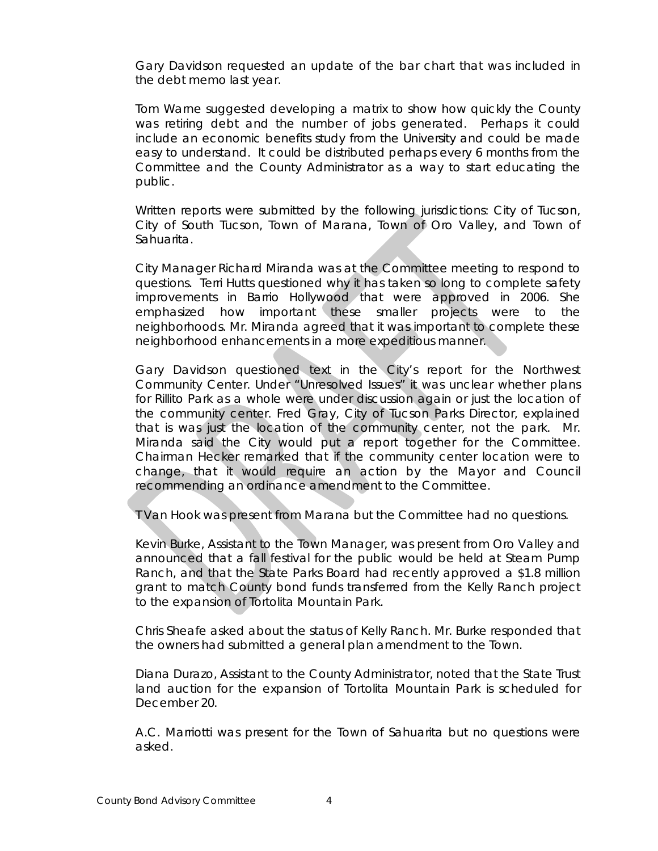Gary Davidson requested an update of the bar chart that was included in the debt memo last year.

Tom Warne suggested developing a matrix to show how quickly the County was retiring debt and the number of jobs generated. Perhaps it could include an economic benefits study from the University and could be made easy to understand. It could be distributed perhaps every 6 months from the Committee and the County Administrator as a way to start educating the public.

Written reports were submitted by the following jurisdictions: City of Tucson, City of South Tucson, Town of Marana, Town of Oro Valley, and Town of Sahuarita.

City Manager Richard Miranda was at the Committee meeting to respond to questions. Terri Hutts questioned why it has taken so long to complete safety improvements in Barrio Hollywood that were approved in 2006. She emphasized how important these smaller projects were to the neighborhoods. Mr. Miranda agreed that it was important to complete these neighborhood enhancements in a more expeditious manner.

Gary Davidson questioned text in the City's report for the Northwest Community Center. Under "Unresolved Issues" it was unclear whether plans for Rillito Park as a whole were under discussion again or just the location of the community center. Fred Gray, City of Tucson Parks Director, explained that is was just the location of the community center, not the park. Mr. Miranda said the City would put a report together for the Committee. Chairman Hecker remarked that if the community center location were to change, that it would require an action by the Mayor and Council recommending an ordinance amendment to the Committee.

T Van Hook was present from Marana but the Committee had no questions.

Kevin Burke, Assistant to the Town Manager, was present from Oro Valley and announced that a fall festival for the public would be held at Steam Pump Ranch, and that the State Parks Board had recently approved a \$1.8 million grant to match County bond funds transferred from the Kelly Ranch project to the expansion of Tortolita Mountain Park.

Chris Sheafe asked about the status of Kelly Ranch. Mr. Burke responded that the owners had submitted a general plan amendment to the Town.

Diana Durazo, Assistant to the County Administrator, noted that the State Trust land auction for the expansion of Tortolita Mountain Park is scheduled for December 20.

A.C. Marriotti was present for the Town of Sahuarita but no questions were asked.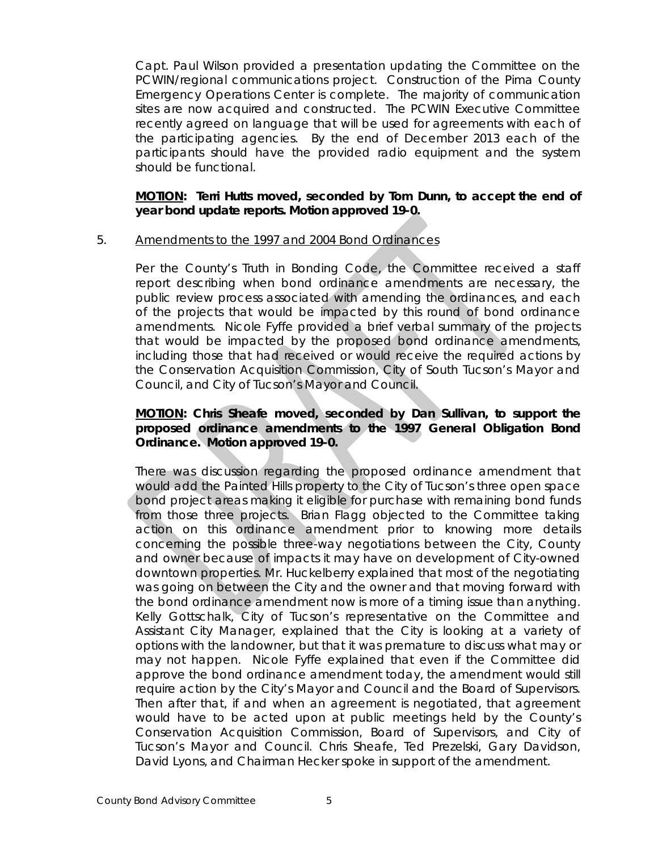Capt. Paul Wilson provided a presentation updating the Committee on the PCWIN/regional communications project. Construction of the Pima County Emergency Operations Center is complete. The majority of communication sites are now acquired and constructed. The PCWIN Executive Committee recently agreed on language that will be used for agreements with each of the participating agencies. By the end of December 2013 each of the participants should have the provided radio equipment and the system should be functional.

## **MOTION: Terri Hutts moved, seconded by Tom Dunn, to accept the end of year bond update reports. Motion approved 19-0.**

## 5. Amendments to the 1997 and 2004 Bond Ordinances

Per the County's Truth in Bonding Code, the Committee received a staff report describing when bond ordinance amendments are necessary, the public review process associated with amending the ordinances, and each of the projects that would be impacted by this round of bond ordinance amendments. Nicole Fyffe provided a brief verbal summary of the projects that would be impacted by the proposed bond ordinance amendments, including those that had received or would receive the required actions by the Conservation Acquisition Commission, City of South Tucson's Mayor and Council, and City of Tucson's Mayor and Council.

# **MOTION: Chris Sheafe moved, seconded by Dan Sullivan, to support the proposed ordinance amendments to the 1997 General Obligation Bond Ordinance. Motion approved 19-0.**

There was discussion regarding the proposed ordinance amendment that would add the Painted Hills property to the City of Tucson's three open space bond project areas making it eligible for purchase with remaining bond funds from those three projects. Brian Flagg objected to the Committee taking action on this ordinance amendment prior to knowing more details concerning the possible three-way negotiations between the City, County and owner because of impacts it may have on development of City-owned downtown properties. Mr. Huckelberry explained that most of the negotiating was going on between the City and the owner and that moving forward with the bond ordinance amendment now is more of a timing issue than anything. Kelly Gottschalk, City of Tucson's representative on the Committee and Assistant City Manager, explained that the City is looking at a variety of options with the landowner, but that it was premature to discuss what may or may not happen. Nicole Fyffe explained that even if the Committee did approve the bond ordinance amendment today, the amendment would still require action by the City's Mayor and Council and the Board of Supervisors. Then after that, if and when an agreement is negotiated, that agreement would have to be acted upon at public meetings held by the County's Conservation Acquisition Commission, Board of Supervisors, and City of Tucson's Mayor and Council. Chris Sheafe, Ted Prezelski, Gary Davidson, David Lyons, and Chairman Hecker spoke in support of the amendment.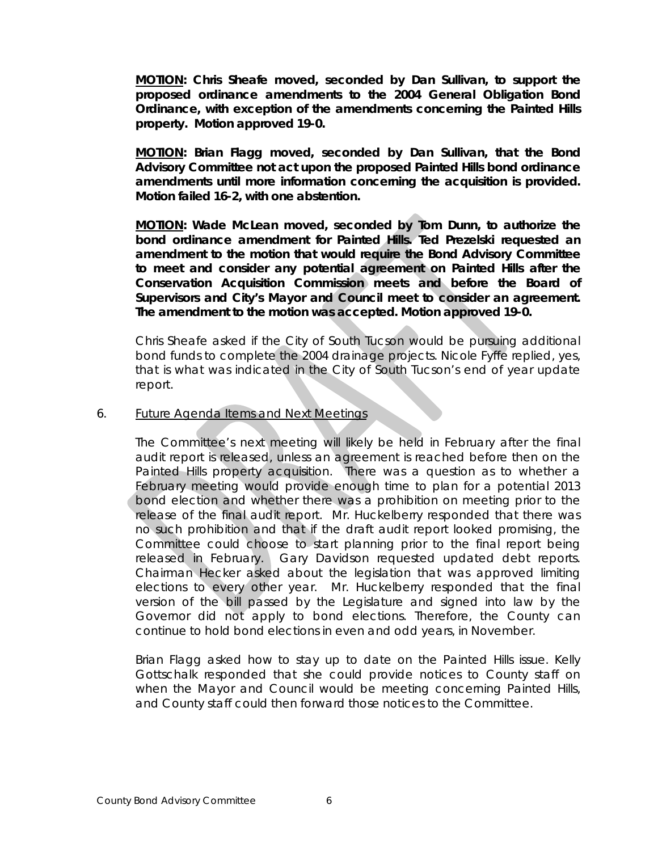**MOTION: Chris Sheafe moved, seconded by Dan Sullivan, to support the proposed ordinance amendments to the 2004 General Obligation Bond Ordinance, with exception of the amendments concerning the Painted Hills property. Motion approved 19-0.** 

**MOTION: Brian Flagg moved, seconded by Dan Sullivan, that the Bond Advisory Committee not act upon the proposed Painted Hills bond ordinance amendments until more information concerning the acquisition is provided. Motion failed 16-2, with one abstention.** 

**MOTION: Wade McLean moved, seconded by Tom Dunn, to authorize the bond ordinance amendment for Painted Hills. Ted Prezelski requested an amendment to the motion that would require the Bond Advisory Committee to meet and consider any potential agreement on Painted Hills after the Conservation Acquisition Commission meets and before the Board of Supervisors and City's Mayor and Council meet to consider an agreement. The amendment to the motion was accepted. Motion approved 19-0.**

Chris Sheafe asked if the City of South Tucson would be pursuing additional bond funds to complete the 2004 drainage projects. Nicole Fyffe replied, yes, that is what was indicated in the City of South Tucson's end of year update report.

#### 6. Future Agenda Items and Next Meetings

The Committee's next meeting will likely be held in February after the final audit report is released, unless an agreement is reached before then on the Painted Hills property acquisition. There was a question as to whether a February meeting would provide enough time to plan for a potential 2013 bond election and whether there was a prohibition on meeting prior to the release of the final audit report. Mr. Huckelberry responded that there was no such prohibition and that if the draft audit report looked promising, the Committee could choose to start planning prior to the final report being released in February. Gary Davidson requested updated debt reports. Chairman Hecker asked about the legislation that was approved limiting elections to every other year. Mr. Huckelberry responded that the final version of the bill passed by the Legislature and signed into law by the Governor did not apply to bond elections. Therefore, the County can continue to hold bond elections in even and odd years, in November.

Brian Flagg asked how to stay up to date on the Painted Hills issue. Kelly Gottschalk responded that she could provide notices to County staff on when the Mayor and Council would be meeting concerning Painted Hills, and County staff could then forward those notices to the Committee.